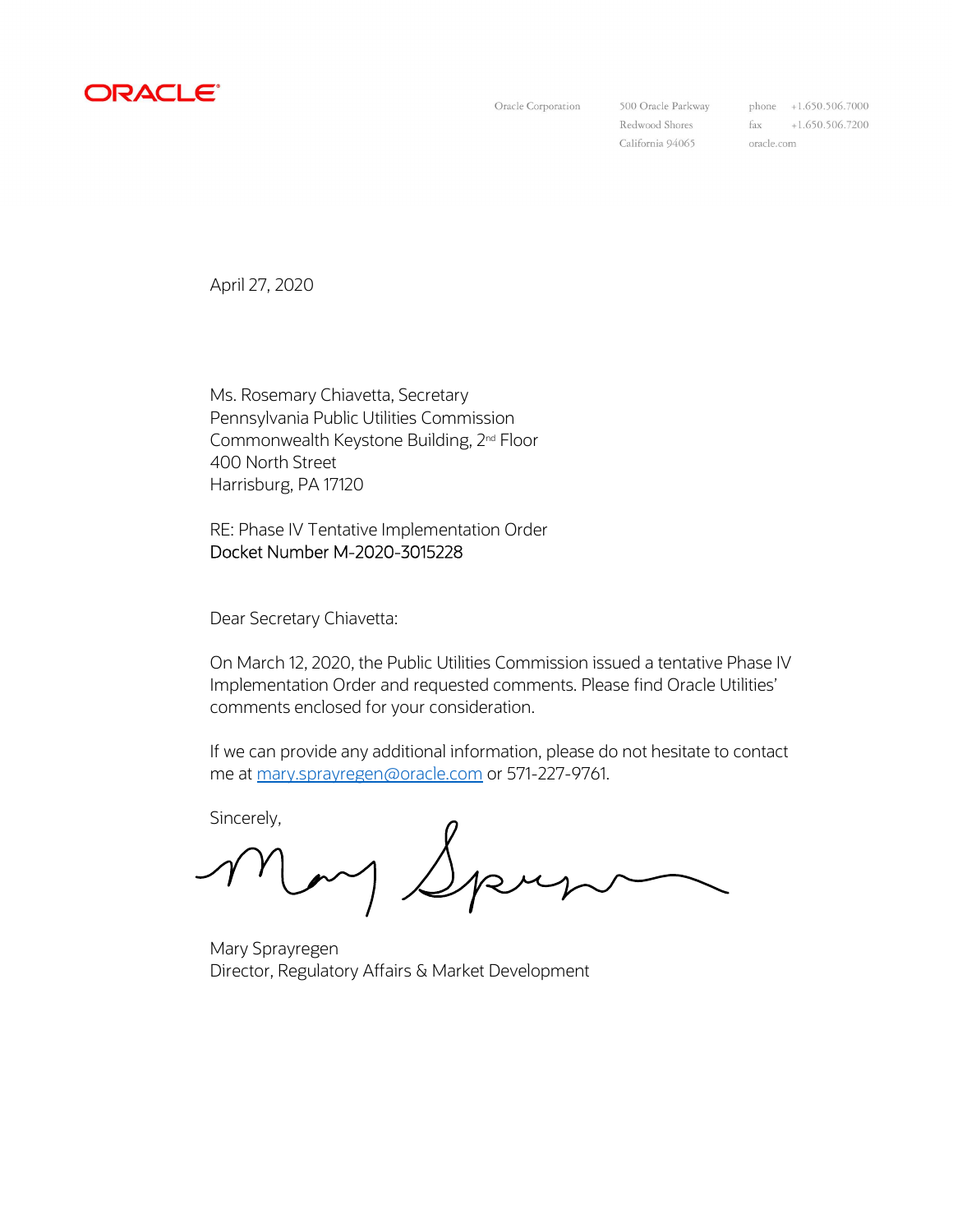

Oracle Corporation

500 Oracle Parkway Redwood Shores California 94065

phone +1.650.506.7000  $\text{fax}$  +1.650.506.7200 oracle.com

April 27, 2020

Ms. Rosemary Chiavetta, Secretary Pennsylvania Public Utilities Commission Commonwealth Keystone Building, 2nd Floor 400 North Street Harrisburg, PA 17120

RE: Phase IV Tentative Implementation Order Docket Number M-2020-3015228

Dear Secretary Chiavetta:

On March 12, 2020, the Public Utilities Commission issued a tentative Phase IV Implementation Order and requested comments. Please find Oracle Utilities' comments enclosed for your consideration.

If we can provide any additional information, please do not hesitate to contact me at mary.sprayregen@oracle.com or 571-227-9761.

Sincerely,

Jpry

Mary Sprayregen Director, Regulatory Affairs & Market Development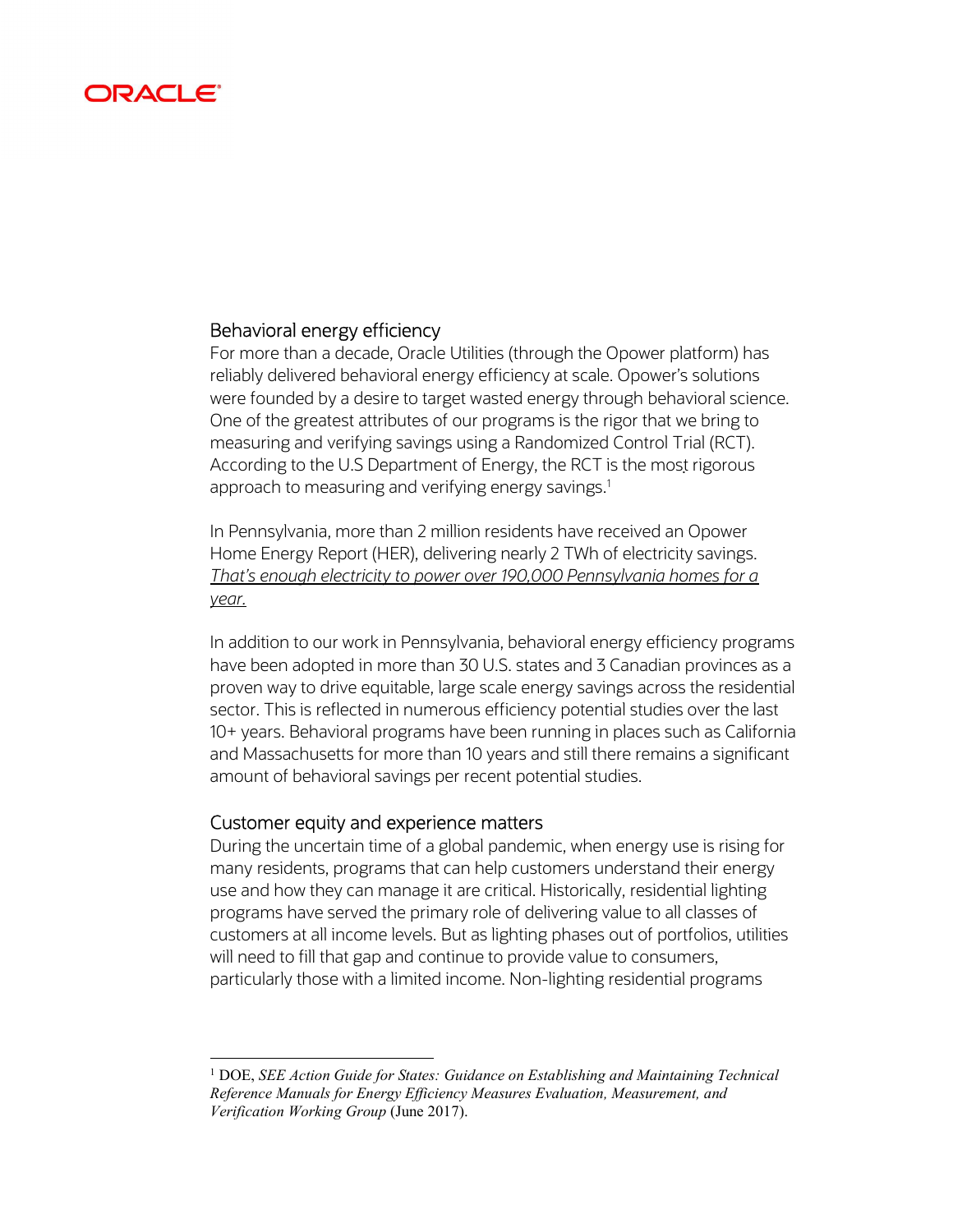# ORACLE

## Behavioral energy efficiency

For more than a decade, Oracle Utilities (through the Opower platform) has reliably delivered behavioral energy efficiency at scale. Opower's solutions were founded by a desire to target wasted energy through behavioral science. One of the greatest attributes of our programs is the rigor that we bring to measuring and verifying savings using a Randomized Control Trial (RCT). According to the U.S Department of Energy, the RCT is the most rigorous approach to measuring and verifying energy savings. $^{\rm 1}$ 

In Pennsylvania, more than 2 million residents have received an Opower Home Energy Report (HER), delivering nearly 2 TWh of electricity savings. That's enough electricity to power over 190,000 Pennsylvania homes for a year.

In addition to our work in Pennsylvania, behavioral energy efficiency programs have been adopted in more than 30 U.S. states and 3 Canadian provinces as a proven way to drive equitable, large scale energy savings across the residential sector. This is reflected in numerous efficiency potential studies over the last 10+ years. Behavioral programs have been running in places such as California and Massachusetts for more than 10 years and still there remains a significant amount of behavioral savings per recent potential studies.

#### Customer equity and experience matters

 $\overline{a}$ 

During the uncertain time of a global pandemic, when energy use is rising for many residents, programs that can help customers understand their energy use and how they can manage it are critical. Historically, residential lighting programs have served the primary role of delivering value to all classes of customers at all income levels. But as lighting phases out of portfolios, utilities will need to fill that gap and continue to provide value to consumers, particularly those with a limited income. Non-lighting residential programs

<sup>&</sup>lt;sup>1</sup> DOE, SEE Action Guide for States: Guidance on Establishing and Maintaining Technical Reference Manuals for Energy Efficiency Measures Evaluation, Measurement, and Verification Working Group (June 2017).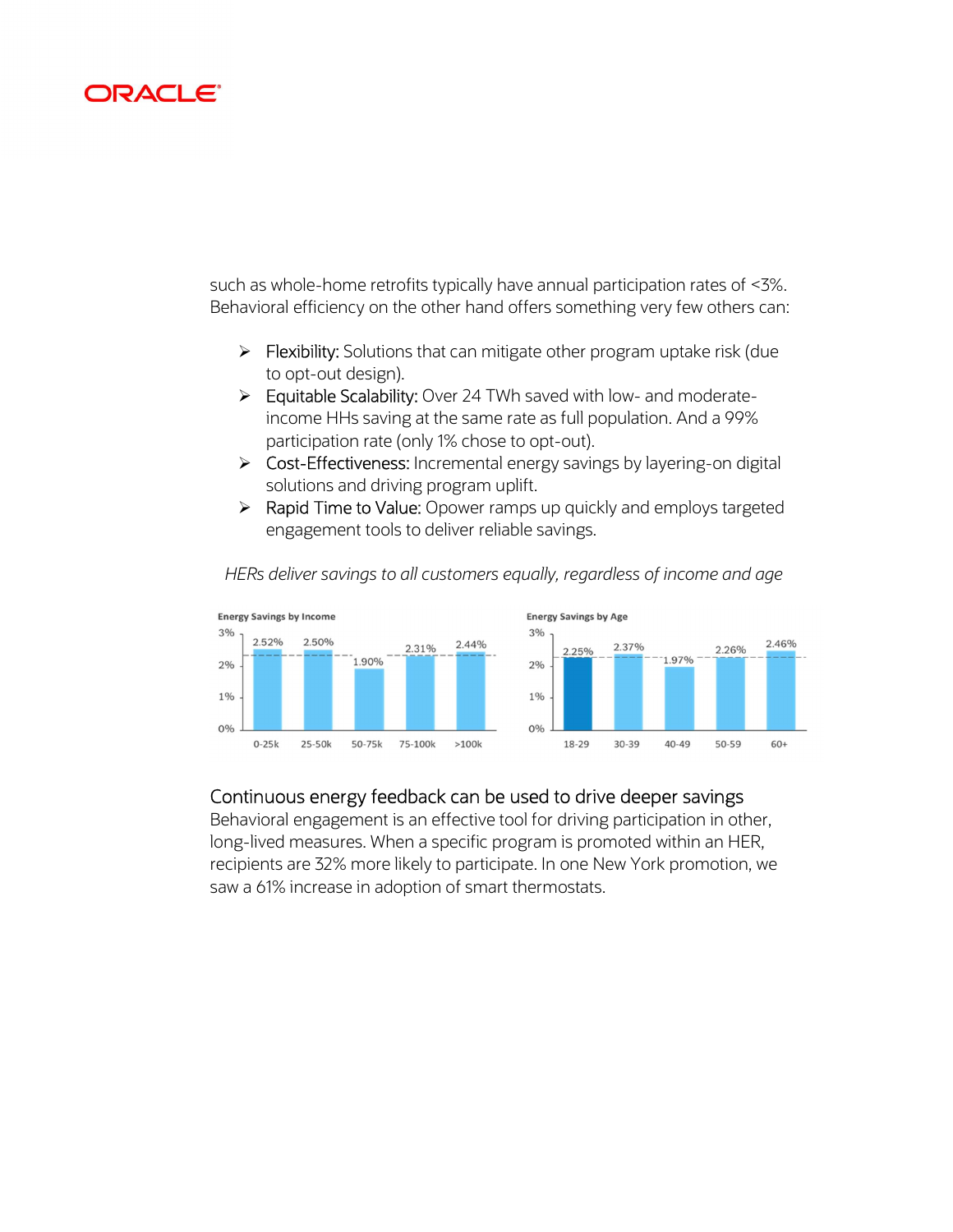# **DAGL**

such as whole-home retrofits typically have annual participation rates of <3%. Behavioral efficiency on the other hand offers something very few others can:

- $\triangleright$  Flexibility: Solutions that can mitigate other program uptake risk (due to opt-out design).
- **Equitable Scalability:** Over 24 TWh saved with low- and moderateincome HHs saving at the same rate as full population. And a 99% participation rate (only 1% chose to opt-out).
- ▶ Cost-Effectiveness: Incremental energy savings by layering-on digital solutions and driving program uplift.
- ▶ Rapid Time to Value: Opower ramps up quickly and employs targeted engagement tools to deliver reliable savings.



HERs deliver savings to all customers equally, regardless of income and age

## Continuous energy feedback can be used to drive deeper savings

Behavioral engagement is an effective tool for driving participation in other, long-lived measures. When a specific program is promoted within an HER, recipients are 32% more likely to participate. In one New York promotion, we saw a 61% increase in adoption of smart thermostats.